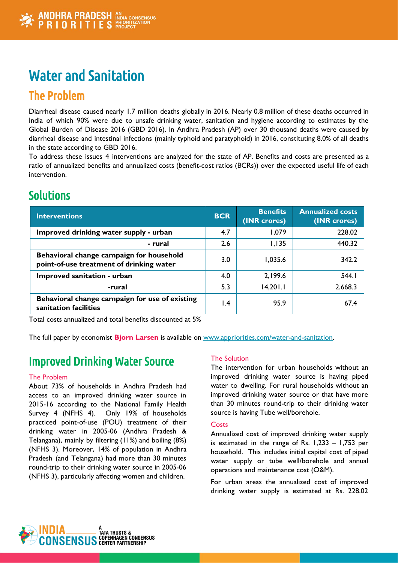# Water and Sanitation

# The Problem

Diarrheal disease caused nearly 1.7 million deaths globally in 2016. Nearly 0.8 million of these deaths occurred in India of which 90% were due to unsafe drinking water, sanitation and hygiene according to estimates by the Global Burden of Disease 2016 (GBD 2016). In Andhra Pradesh (AP) over 30 thousand deaths were caused by diarrheal disease and intestinal infections (mainly typhoid and paratyphoid) in 2016, constituting 8.0% of all deaths in the state according to GBD 2016.

To address these issues 4 interventions are analyzed for the state of AP. Benefits and costs are presented as a ratio of annualized benefits and annualized costs (benefit-cost ratios (BCRs)) over the expected useful life of each intervention.

# Solutions

| <b>Interventions</b>                                                                 | <b>BCR</b>      | <b>Benefits</b><br>(INR crores) | <b>Annualized costs</b><br>(INR crores) |
|--------------------------------------------------------------------------------------|-----------------|---------------------------------|-----------------------------------------|
| Improved drinking water supply - urban                                               | 4.7             | 1,079                           | 228.02                                  |
| - rural                                                                              | 2.6             | 1,135                           | 440.32                                  |
| Behavioral change campaign for household<br>point-of-use treatment of drinking water | 3.0             | 1,035.6                         | 342.2                                   |
| Improved sanitation - urban                                                          | 4.0             | 2,199.6                         | 544.1                                   |
| -rural                                                                               | 5.3             | 14,201.1                        | 2,668.3                                 |
| Behavioral change campaign for use of existing<br>sanitation facilities              | $\mathsf{I}$ .4 | 95.9                            | 67.4                                    |

Total costs annualized and total benefits discounted at 5%

The full paper by economist **Bjorn Larsen** is available on [www.appriorities.com/water-and-sanitation](http://www.appriorities.com/water-and-sanitation).

# Improved Drinking Water Source

# The Problem

About 73% of households in Andhra Pradesh had access to an improved drinking water source in 2015-16 according to the National Family Health Survey 4 (NFHS 4). Only 19% of households practiced point-of-use (POU) treatment of their drinking water in 2005-06 (Andhra Pradesh & Telangana), mainly by filtering (11%) and boiling (8%) (NFHS 3). Moreover, 14% of population in Andhra Pradesh (and Telangana) had more than 30 minutes round-trip to their drinking water source in 2005-06 (NFHS 3), particularly affecting women and children.

# The Solution

The intervention for urban households without an improved drinking water source is having piped water to dwelling. For rural households without an improved drinking water source or that have more than 30 minutes round-trip to their drinking water source is having Tube well/borehole.

### **Costs**

Annualized cost of improved drinking water supply is estimated in the range of Rs. 1,233 – 1,753 per household. This includes initial capital cost of piped water supply or tube well/borehole and annual operations and maintenance cost (O&M).

For urban areas the annualized cost of improved drinking water supply is estimated at Rs. 228.02

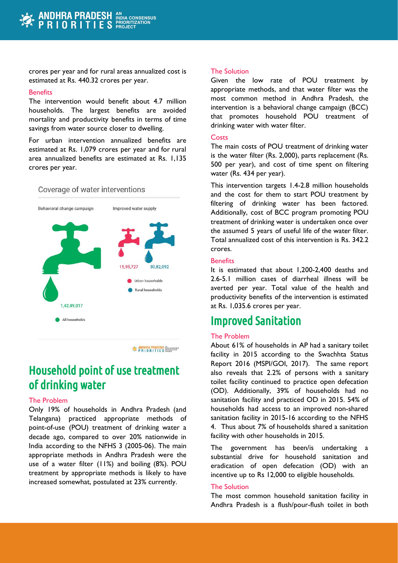crores per year and for rural areas annualized cost is estimated at Rs. 440.32 crores per year.

#### **Benefits**

The intervention would benefit about 4.7 million households. The largest benefits are avoided mortality and productivity benefits in terms of time savings from water source closer to dwelling.

For urban intervention annualized benefits are estimated at Rs. 1,079 crores per year and for rural area annualized benefits are estimated at Rs. 1,135 crores per year.

#### Coverage of water interventions



**EXAMPLE PRADESH** WELL CONSERVED BY PRIORITIES PROGRESSED

# Household point of use treatment of drinking water

#### The Problem

Only 19% of households in Andhra Pradesh (and Telangana) practiced appropriate methods of point-of-use (POU) treatment of drinking water a decade ago, compared to over 20% nationwide in India according to the NFHS 3 (2005-06). The main appropriate methods in Andhra Pradesh were the use of a water filter (11%) and boiling (8%). POU treatment by appropriate methods is likely to have increased somewhat, postulated at 23% currently.

#### The Solution

Given the low rate of POU treatment by appropriate methods, and that water filter was the most common method in Andhra Pradesh, the intervention is a behavioral change campaign (BCC) that promotes household POU treatment of drinking water with water filter.

#### **Costs**

The main costs of POU treatment of drinking water is the water filter (Rs. 2,000), parts replacement (Rs. 500 per year), and cost of time spent on filtering water (Rs. 434 per year).

This intervention targets 1.4-2.8 million households and the cost for them to start POU treatment by filtering of drinking water has been factored. Additionally, cost of BCC program promoting POU treatment of drinking water is undertaken once over the assumed 5 years of useful life of the water filter. Total annualized cost of this intervention is Rs. 342.2 crores.

#### **Benefits**

It is estimated that about 1,200-2,400 deaths and 2.6-5.1 million cases of diarrheal illness will be averted per year. Total value of the health and productivity benefits of the intervention is estimated at Rs. 1,035.6 crores per year.

# Improved Sanitation

#### The Problem

About 61% of households in AP had a sanitary toilet facility in 2015 according to the Swachhta Status Report 2016 (MSPI/GOI, 2017). The same report also reveals that 2.2% of persons with a sanitary toilet facility continued to practice open defecation (OD). Additionally, 39% of households had no sanitation facility and practiced OD in 2015. 54% of households had access to an improved non-shared sanitation facility in 2015-16 according to the NFHS 4. Thus about 7% of households shared a sanitation facility with other households in 2015.

The government has been/is undertaking a substantial drive for household sanitation and eradication of open defecation (OD) with an incentive up to Rs 12,000 to eligible households.

#### The Solution

The most common household sanitation facility in Andhra Pradesh is a flush/pour-flush toilet in both